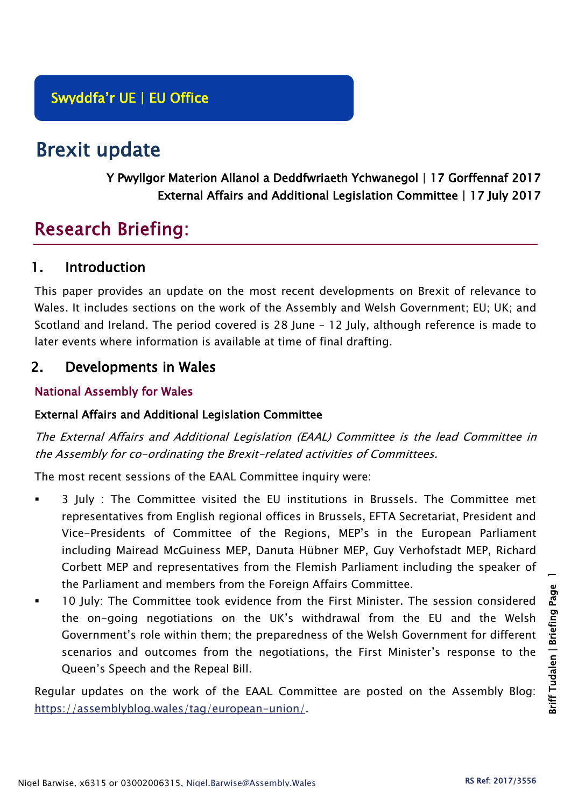# Brexit update

## Y Pwyllgor Materion Allanol a Deddfwriaeth Ychwanegol | 17 Gorffennaf 2017 External Affairs and Additional Legislation Committee | 17 July 2017

## Research Briefing:

## 1. Introduction

This paper provides an update on the most recent developments on Brexit of relevance to Wales. It includes sections on the work of the Assembly and Welsh Government; EU; UK; and Scotland and Ireland. The period covered is 28 June – 12 July, although reference is made to later events where information is available at time of final drafting.

## 2. Developments in Wales

## National Assembly for Wales

#### External Affairs and Additional Legislation Committee

The External Affairs and Additional Legislation (EAAL) Committee is the lead Committee in the Assembly for co-ordinating the Brexit-related activities of Committees.

The most recent sessions of the EAAL Committee inquiry were:

- 3 July : The Committee visited the EU institutions in Brussels. The Committee met representatives from English regional offices in Brussels, EFTA Secretariat, President and Vice-Presidents of Committee of the Regions, MEP's in the European Parliament including Mairead McGuiness MEP, Danuta Hübner MEP, Guy Verhofstadt MEP, Richard Corbett MEP and representatives from the Flemish Parliament including the speaker of the Parliament and members from the Foreign Affairs Committee.
- 10 July: The Committee took evidence from the First Minister. The session considered the on-going negotiations on the UK's withdrawal from the EU and the Welsh Government's role within them; the preparedness of the Welsh Government for different scenarios and outcomes from the negotiations, the First Minister's response to the Queen's Speech and the Repeal Bill.

Regular updates on the work of the EAAL Committee are posted on the Assembly Blog: [https://assemblyblog.wales/tag/european-union/.](https://assemblyblog.wales/tag/european-union/)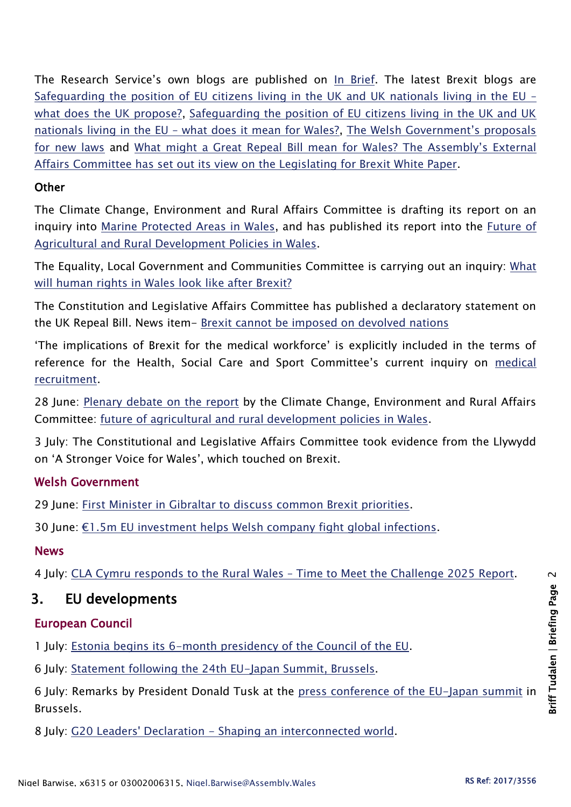The Research Service's own blogs are published on [In Brief.](https://assemblyinbrief.wordpress.com/) The latest Brexit blogs are [Safeguarding the position of EU citizens living in the UK and UK nationals living in the EU](https://assemblyinbrief.wordpress.com/2017/06/30/safeguarding-the-position-of-eu-citizens-living-in-the-uk-and-uk-nationals-living-in-the-eu-what-does-the-uk-propose/) – [what does the UK propose?,](https://assemblyinbrief.wordpress.com/2017/06/30/safeguarding-the-position-of-eu-citizens-living-in-the-uk-and-uk-nationals-living-in-the-eu-what-does-the-uk-propose/) [Safeguarding the position of EU citizens living in the UK and UK](https://assemblyinbrief.wordpress.com/2017/06/29/safeguarding-the-position-of-eu-citizens-living-in-the-uk-and-uk-nationals-living-in-the-eu-what-does-it-mean-for-wales/)  nationals living in the EU – [what does it mean for Wales?,](https://assemblyinbrief.wordpress.com/2017/06/29/safeguarding-the-position-of-eu-citizens-living-in-the-uk-and-uk-nationals-living-in-the-eu-what-does-it-mean-for-wales/) [The Welsh Government's proposals](https://assemblyinbrief.wordpress.com/2017/06/23/the-welsh-governments-proposals-for-new-laws/)  [for new laws](https://assemblyinbrief.wordpress.com/2017/06/23/the-welsh-governments-proposals-for-new-laws/) and [What might a Great Repeal Bill mean for Wa](https://assemblyinbrief.wordpress.com/2017/06/19/what-might-a-great-repeal-bill-mean-for-wales-the-assemblys-external-affairs-committee-has-set-out-its-view-on-the-legislating-for-brexit-white-paper/)les? The Assembly's External [Affairs Committee has set out its view on the Legislating for Brexit White Paper.](https://assemblyinbrief.wordpress.com/2017/06/19/what-might-a-great-repeal-bill-mean-for-wales-the-assemblys-external-affairs-committee-has-set-out-its-view-on-the-legislating-for-brexit-white-paper/)

#### **Other**

The Climate Change, Environment and Rural Affairs Committee is drafting its report on an inquiry into [Marine Protected Areas in Wales,](http://senedd.assembly.wales/mgIssueHistoryHome.aspx?IId=16663) and has published its report into the [Future of](http://senedd.assembly.wales/mgIssueHistoryHome.aspx?IId=15876)  [Agricultural and Rural Development Policies in Wales.](http://senedd.assembly.wales/mgIssueHistoryHome.aspx?IId=15876)

The Equality, Local Government and Communities Committee is carrying out an inquiry: [What](http://senedd.assembly.wales/mgConsultationDisplay.aspx?id=244&RPID=1008299204&cp=yes)  [will human rights in Wales look like after Brexit?](http://senedd.assembly.wales/mgConsultationDisplay.aspx?id=244&RPID=1008299204&cp=yes)

The Constitution and Legislative Affairs Committee has published a declaratory statement on the UK Repeal Bill. News item- [Brexit cannot be imposed on devolved nations](http://www.assembly.wales/en/newhome/pages/newsitem.aspx?itemid=1733&assembly=5)

'The implications of Brexit for the medical workforce' is explicitly included in the terms of reference for the Health, Social Care and Sport Committee's current inquiry on [medical](http://senedd.assembly.wales/mgIssueHistoryHome.aspx?IId=16122)  [recruitment.](http://senedd.assembly.wales/mgIssueHistoryHome.aspx?IId=16122)

28 June: [Plenary debate on the report](http://www.assembly.wales/en/bus-home/pages/rop.aspx?meetingid=4301&assembly=5&c=Record%20of%20Proceedings#484059) by the Climate Change, Environment and Rural Affairs Committee: [future of agricultural and rural development policies in Wales.](http://www.cynulliad.cymru/laid%20documents/cr-ld10995/cr-ld10995-e.pdf)

3 July: The Constitutional and Legislative Affairs Committee took evidence from the Llywydd on 'A Stronger Voice for Wales', which touched on Brexit.

## Welsh Government

29 June: [First Minister in Gibraltar to discuss common Brexit priorities.](http://gov.wales/newsroom/firstminister/2017/170629-fm-in-gibraltar-to-discuss-common-brexit-priorities/?lang=en)

30 June: [€1.5m EU investment helps Welsh company fight global infections](http://gov.wales/newsroom/finance1/2017/59147978/?lang=en).

#### News

4 July: CLA Cymru responds to the Rural Wales – [Time to Meet the Challenge 2025 Report.](http://www.cla.org.uk/community/your-area/wales/cla-cymru-news/cla-cymru-responds-rural-wales-%E2%80%93-time-meet-challenge-2025-report-published-today)

## 3. EU developments

## European Council

1 July: [Estonia begins its 6-month presidency of the Council of the EU.](http://www.consilium.europa.eu/en/council-eu/presidency-council-eu/)

6 July: [Statement following the 24th EU-Japan Summit, Brussels.](http://www.consilium.europa.eu/en/press/press-releases/2017/07/06-eu-japan-summit-statement/)

6 July: Remarks by President Donald Tusk at the press conference [of the EU-Japan summit](http://www.consilium.europa.eu/en/press/press-releases/2017/07/06-tusk-remarks-press-conference-eu-japan-summit/) in Brussels.

8 July: G20 Leaders' Declaration - [Shaping an interconnected world.](http://www.consilium.europa.eu/en/press/press-releases/2017/07/08-g20-hamburg-communique/)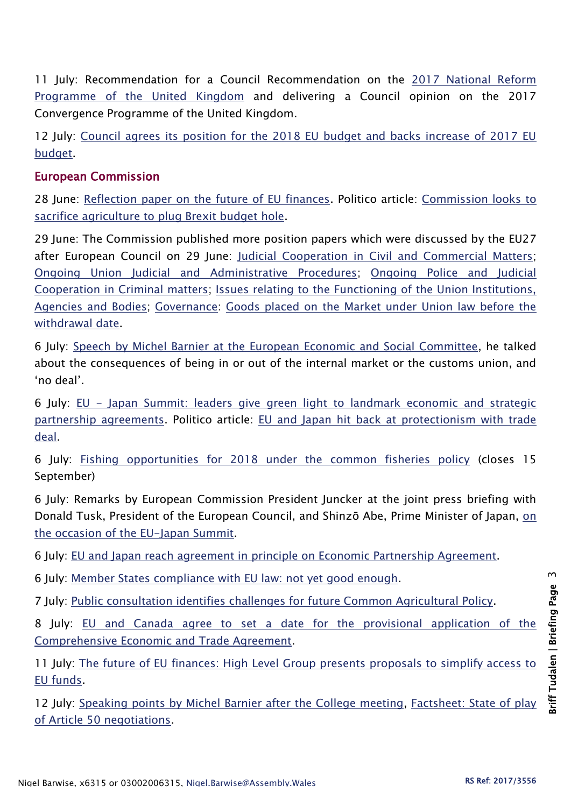11 July: Recommendation for a Council Recommendation on the [2017 National Reform](http://data.consilium.europa.eu/doc/document/ST-9315-2017-INIT/en/pdf)  [Programme of the United Kingdom](http://data.consilium.europa.eu/doc/document/ST-9315-2017-INIT/en/pdf) and delivering a Council opinion on the 2017 Convergence Programme of the United Kingdom.

12 July: [Council agrees its position for the 2018 EU budget and backs increase of 2017 EU](http://www.consilium.europa.eu/en/press/press-releases/2017/07/12-eu-budget-position/)  [budget.](http://www.consilium.europa.eu/en/press/press-releases/2017/07/12-eu-budget-position/)

#### European Commission

28 June: [Reflection paper on the future of EU finances.](https://ec.europa.eu/commission/publications/reflection-paper-future-eu-finances_en) Politico article: [Commission looks to](http://www.politico.eu/article/commission-looks-to-sacrifice-agriculture-to-plug-brexit-budget-hole/?utm_content=buffer84563&utm_medium=social&utm_source=twitter.com&utm_campaign=buffer)  [sacrifice agriculture to plug Brexit budget hole.](http://www.politico.eu/article/commission-looks-to-sacrifice-agriculture-to-plug-brexit-budget-hole/?utm_content=buffer84563&utm_medium=social&utm_source=twitter.com&utm_campaign=buffer)

29 June: The Commission published more position papers which were discussed by the EU27 after European Council on 29 June: [Judicial Cooperation in Civil and Commercial Matters;](https://ec.europa.eu/commission/sites/beta-political/files/essential_principles_judicial_cooperation_in_civil_and_commercial_matters.pdf) [Ongoing Union Judicial and Administrative Procedures;](https://ec.europa.eu/commission/sites/beta-political/files/essential_principles_ongoing_union_judicial_and_administrative_procedures.pdf) [Ongoing Police and Judicial](https://ec.europa.eu/commission/sites/beta-political/files/essential_principles_ongoing_police_and_judicial_coop._.pdf)  [Cooperation in Criminal matters;](https://ec.europa.eu/commission/sites/beta-political/files/essential_principles_ongoing_police_and_judicial_coop._.pdf) [Issues relating to the Functioning of the Union Institutions,](https://ec.europa.eu/commission/sites/beta-political/files/essential_principles_functioning_of_the_institutions_agencies_and_bodies.pdf)  [Agencies and Bodies;](https://ec.europa.eu/commission/sites/beta-political/files/essential_principles_functioning_of_the_institutions_agencies_and_bodies.pdf) [Governance:](https://ec.europa.eu/commission/sites/beta-political/files/essential_principles_governance.pdf) [Goods placed on the Market under Union law before the](https://ec.europa.eu/commission/publications/position-paper-transmitted-eu27-goods-placed-market-under-union-law-withdrawal-date_en)  [withdrawal date.](https://ec.europa.eu/commission/publications/position-paper-transmitted-eu27-goods-placed-market-under-union-law-withdrawal-date_en)

6 July: [Speech by Michel Barnier at the European Economic and Social Committee,](http://europa.eu/rapid/press-release_SPEECH-17-1922_en.htm) he talked about the consequences of being in or out of the internal market or the customs union, and 'no deal'.

6 July: EU - [Japan Summit: leaders give green light to landmark economic and strategic](http://europa.eu/rapid/press-release_IP-17-1927_en.htm)  [partnership agreements.](http://europa.eu/rapid/press-release_IP-17-1927_en.htm) Politico article: [EU and Japan hit back at protectionism with trade](http://www.politico.eu/article/eu-and-japan-negotiators-seal-trade-agreement/?utm_source=POLITICO.EU&utm_campaign=069fced8a1-EMAIL_CAMPAIGN_2017_07_06&utm_medium=email&utm_term=0_10959edeb5-069fced8a1-189943073)  [deal.](http://www.politico.eu/article/eu-and-japan-negotiators-seal-trade-agreement/?utm_source=POLITICO.EU&utm_campaign=069fced8a1-EMAIL_CAMPAIGN_2017_07_06&utm_medium=email&utm_term=0_10959edeb5-069fced8a1-189943073)

6 July: [Fishing opportunities for 2018 under the common fisheries policy](http://ec.europa.eu/info/consultations/fishing-opportunities-2018-under-common-fisheries-policy_en) (closes 15 September)

6 July: Remarks by European Commission President Juncker at the joint press briefing with Donald Tusk, President of the European Council, and Shinzō Abe, Prime Minister of Japan, [on](http://europa.eu/rapid/press-release_SPEECH-17-1926_en.htm)  [the occasion of the EU-Japan Summit.](http://europa.eu/rapid/press-release_SPEECH-17-1926_en.htm)

6 July: [EU and Japan reach agreement in principle on Economic Partnership Agreement.](http://europa.eu/rapid/press-release_IP-17-1902_en.htm)

6 July: [Member States compliance with EU law: not yet good enough.](http://europa.eu/rapid/press-release_IP-17-1846_en.htm)

7 July: [Public consultation identifies challenges for future Common Agricultural Policy.](http://europa.eu/rapid/press-release_IP-17-1939_en.htm)

8 July: EU and Canada agree to set a date for the provisional application of the [Comprehensive Economic and Trade Agreement.](http://europa.eu/rapid/press-release_STATEMENT-17-1959_en.htm)

11 July: The future [of EU finances: High Level Group presents proposals to simplify access to](http://europa.eu/rapid/press-release_IP-17-1921_en.htm)  [EU funds.](http://europa.eu/rapid/press-release_IP-17-1921_en.htm)

12 July: [Speaking points by Michel Barnier after the College meeting,](http://europa.eu/rapid/press-release_SPEECH-17-2005_en.htm) [Factsheet: State of play](http://europa.eu/rapid/press-release_MEMO-17-2001_en.htm)  [of Article 50 negotiations.](http://europa.eu/rapid/press-release_MEMO-17-2001_en.htm)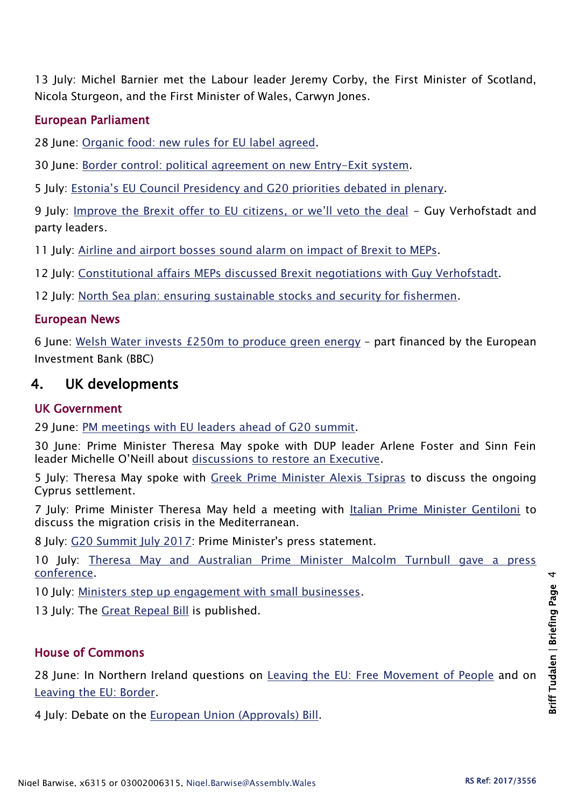13 July: Michel Barnier met the Labour leader Jeremy Corby, the First Minister of Scotland, Nicola Sturgeon, and the First Minister of Wales, Carwyn Jones.

#### European Parliament

28 June: [Organic food: new rules for EU label agreed.](http://www.europarl.europa.eu/news/en/press-room/20170628IPR78527/organic-food-new-rules-for-eu-label-agreed)

30 June: [Border control: political agreement on new Entry-Exit system.](http://www.europarl.europa.eu/news/en/press-room/20170627IPR78409/border-control-political-agreement-on-new-entry-exit-system)

5 July: [Estonia's EU Council Presidency and G20 priorities debated in plenary](http://www.europarl.europa.eu/news/en/press-room/20170629IPR78635/estonia-s-eu-council-presidency-and-g20-priorities-debated-in-plenary).

9 July: [Improve the Brexit offer to EU citizens, or we'll veto the deal](https://www.theguardian.com/commentisfree/2017/jul/09/brexit-offer-eu-citzens-veto-british-porposal-european-parliament) - Guy Verhofstadt and party leaders.

11 July: [Airline and airport bosses sound alarm on impact of Brexit to MEPs.](http://www.europarl.europa.eu/news/en/press-room/20170710IPR79401/airline-and-airport-bosses-sound-alarm-on-impact-of-brexit-to-meps)

12 July: [Constitutional affairs MEPs discussed Brexit negotiations with Guy Verhofstadt.](http://www.europarl.europa.eu/news/en/press-room/20170710IPR79369/constitutional-affairs-meps-to-discuss-brexit-negotiations-with-guy-verhofstadt)

12 July: [North Sea plan: ensuring sustainable stocks and security for fishermen.](http://www.europarl.europa.eu/news/en/press-room/20170710IPR79402/north-sea-plan-ensuring-sustainable-stocks-and-security-for-fishermen)

#### European News

6 June: [Welsh Water invests £250m to produce green energy](http://www.bbc.co.uk/news/uk-wales-40509518) – part financed by the European Investment Bank (BBC)

## 4. UK developments

#### UK Government

29 June: [PM meetings with EU leaders ahead of G20 summit.](https://www.gov.uk/government/news/pm-meetings-with-eu-leaders-ahead-of-g20-summit-29-june-2017)

30 June: Prime Minister Theresa May spoke with DUP leader Arlene Foster and Sinn Fein leader Michelle O'Neill about [discussions to restore an Executive.](https://www.gov.uk/government/news/pm-calls-with-arlene-foster-and-michelle-oneill-30-june-2017)

5 July: Theresa May spoke with [Greek Prime Minister Alexis Tsipras](https://www.gov.uk/government/news/pm-call-with-greek-prime-minister-tsipras-5-july-2017) to discuss the ongoing Cyprus settlement.

7 July: Prime Minister Theresa May held a meeting with [Italian Prime Minister Gentiloni](https://www.gov.uk/government/news/pm-meeting-with-prime-minister-gentiloni-7-july-2017) to discuss the migration crisis in the Mediterranean.

8 July: [G20 Summit July 2017:](https://www.gov.uk/government/speeches/g20-summit-july-2017-prime-ministers-press-statement) Prime Minister's press statement.

10 July: [Theresa May and Australian Prime Minister Malcolm Turnbull gave a press](https://www.gov.uk/government/speeches/pm-press-conference-with-australian-pm-malcolm-turnbull-10-july-2017)  [conference.](https://www.gov.uk/government/speeches/pm-press-conference-with-australian-pm-malcolm-turnbull-10-july-2017)

10 July: [Ministers step up engagement with small businesses.](https://www.gov.uk/government/news/ministers-step-up-engagement-with-small-businesses)

13 July: The [Great Repeal Bill](https://publications.parliament.uk/pa/bills/cbill/2017-2019/0005/18005.pdf) is published.

#### House of Commons

28 June: In Northern Ireland questions on [Leaving the EU: Free Movement of People](http://hansard.parliament.uk/commons/2017-06-28/debates/AC16F419-D79C-4BF3-9806-DA5507613AF6/LeavingTheEUFreeMovementOfPeople) and on [Leaving the EU: Border.](http://hansard.parliament.uk/commons/2017-06-28/debates/C4E4D374-B54A-4D8F-9504-09CB068DA2A3/LeavingTheEUBorder)

4 July: Debate on the [European Union \(Approvals\) Bill.](http://hansard.parliament.uk/commons/2017-07-04/debates/C0865A5A-54F2-46B3-A646-24BEEB2FB15D/EuropeanUnion(Approvals)Bill)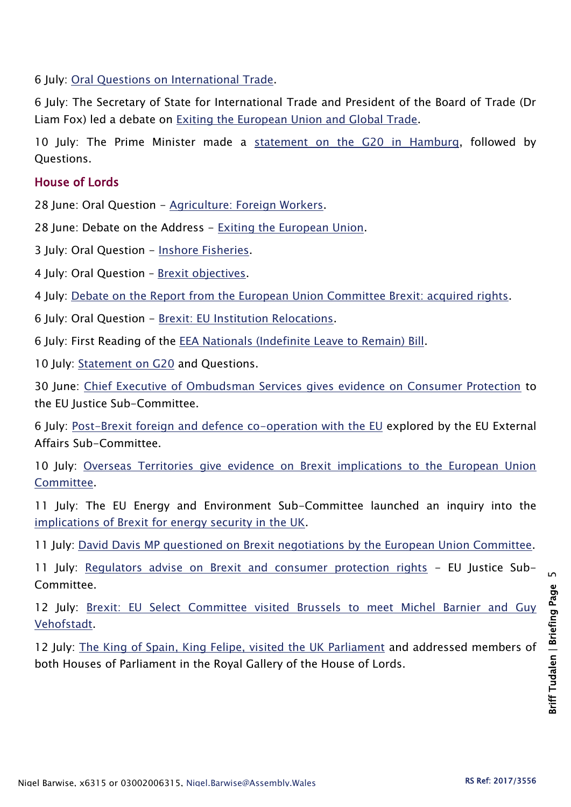6 July: [Oral Questions on International Trade.](http://hansard.parliament.uk/commons/2017-07-06)

6 July: The Secretary of State for International Trade and President of the Board of Trade (Dr Liam Fox) led a debate on [Exiting the European Union and Global Trade.](http://hansard.parliament.uk/commons/2017-07-06/debates/B1351616-A3BA-4A62-AEA7-7A77F80D733B/ExitingTheEuropeanUnionAndGlobalTrade)

10 July: The Prime Minister made a [statement on the G20 in Hamburg,](http://hansard.parliament.uk/Commons/2017-07-10/debates/C2A07B94-6249-4BCD-815D-81AB73581BC5/G20) followed by Questions.

#### House of Lords

28 June: Oral Question - [Agriculture: Foreign Workers.](https://hansard.parliament.uk/Lords/2017-06-28/debates/578A0627-1F85-4241-AF7F-771152B5248F/AgricultureForeignWorkers)

28 June: Debate on the Address - [Exiting the European Union.](https://hansard.parliament.uk/Lords/2017-06-28/debates/40B43E18-6186-4489-850A-95DCF873272E/Queen%E2%80%99SSpeech)

3 July: Oral Question - [Inshore Fisheries.](http://hansard.parliament.uk/Lords/2017-07-03/debates/4F5D13A1-7D52-43B4-852D-6ACEDCEEE23E/InshoreFisheries)

4 July: Oral Question - [Brexit objectives.](http://hansard.parliament.uk/Lords/2017-07-04/debates/CD51B8B4-2475-4D98-B3AB-A9066A1496C1/Brexit)

4 July: [Debate on the Report from the European Union Committee Brexit: acquired rights.](http://hansard.parliament.uk/Lords/2017-07-04/debates/071B24D5-2F21-4509-AF5F-B5909DB4A8C9/BrexitAcquiredRights(EUCReport))

6 July: Oral Question - [Brexit: EU Institution Relocations.](http://hansard.parliament.uk/Lords/2017-07-06/debates/B0AA8626-7A99-47C2-B087-DA20126A6C12/BrexitEUInstitutionRelocations)

6 July: First Reading of the [EEA Nationals \(Indefinite Leave to Remain\) Bill.](http://hansard.parliament.uk/Lords/2017-07-06/debates/BFF8558C-9A18-46DF-A6B8-8CBE1C2ABBF9/EEANationals(IndefiniteLeaveToRemain)Bill(HL))

10 July: [Statement on G20](http://hansard.parliament.uk/lords/2017-07-10/debates/C9F57EE7-FBFB-4CC8-A207-44568DD1B5E5/G20) and Questions.

30 June: [Chief Executive of Ombudsman Services gives evidence on Consumer Protection](http://www.parliament.uk/business/committees/committees-a-z/lords-select/eu-justice-subcommittee/news-parliament-2017/brexit-consumer-protection-shand-smith/) to the EU Justice Sub-Committee.

6 July: [Post-Brexit foreign and defence co-operation with the EU](http://www.parliament.uk/business/committees/committees-a-z/lords-select/eu-external-affairs-subcommittee/news-parliament-2017/foreign-defence-cooperation/) explored by the EU External Affairs Sub-Committee.

10 July: Overseas Territories give evidence on Brexit implications to the European Union [Committee.](http://www.parliament.uk/business/committees/committees-a-z/lords-select/eu-select-committee-/news-parliament-2017/overseas-territories-evidence-100717/)

11 July: The EU Energy and Environment Sub-Committee launched an inquiry into the [implications of Brexit for energy security in the UK.](http://www.parliament.uk/business/committees/committees-a-z/lords-select/eu-energy-environment-subcommittee/inquiries/parliament-2017/brexit-energy-security/)

11 July: [David Davis MP questioned on Brexit negotiations by the European Union Committee.](http://www.parliament.uk/business/committees/committees-a-z/lords-select/eu-select-committee-/news-parliament-2017/david-davis-evidence-110717/)

11 July: [Regulators advise on Brexit and consumer protection rights](http://www.parliament.uk/business/committees/committees-a-z/lords-select/eu-justice-subcommittee/news-parliament-2017/brexit-consumer-protection-livermore-steedman/) - EU Justice Sub-Committee.

12 July: [Brexit: EU Select Committee visited Brussels to meet Michel Barnier and Guy](http://www.parliament.uk/business/committees/committees-a-z/lords-select/eu-select-committee-/news-parliament-2017/eu-committee-brussels-120717/)  [Vehofstadt.](http://www.parliament.uk/business/committees/committees-a-z/lords-select/eu-select-committee-/news-parliament-2017/eu-committee-brussels-120717/)

12 July: [The King of Spain, King Felipe, visited the UK Parliament](http://www.parliament.uk/business/news/2017/july/king-of-spain-visits-uk-parliament/) and addressed members of both Houses of Parliament in the Royal Gallery of the House of Lords.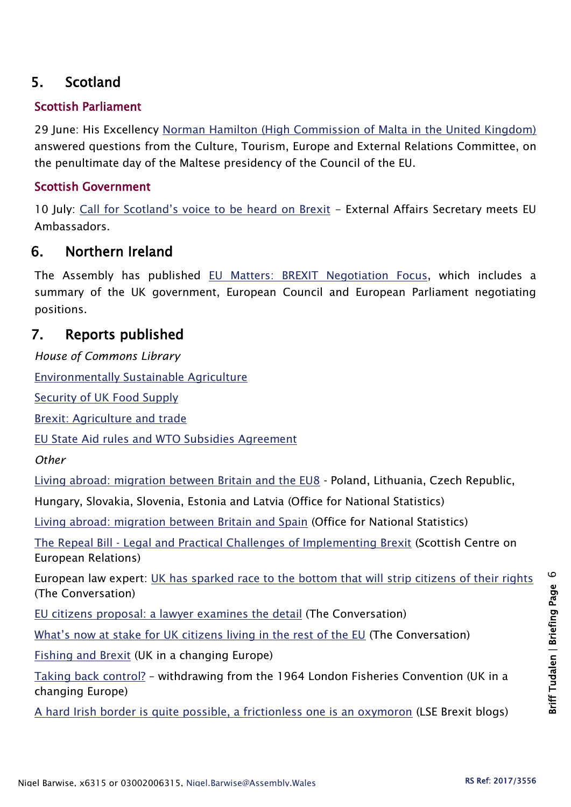## 5. Scotland

#### Scottish Parliament

29 June: His Excellency [Norman Hamilton \(High Commission of Malta in the United Kingdom\)](http://www.parliament.scot/parliamentarybusiness/report.aspx?r=11047&i=100898) answered questions from the Culture, Tourism, Europe and External Relations Committee, on the penultimate day of the Maltese presidency of the Council of the EU.

#### Scottish Government

10 July: Call for Scotland's v[oice to be heard on Brexit](https://news.gov.scot/news/call-for-scotlands-voice-to-be-heard-on-brexit) - External Affairs Secretary meets EU Ambassadors.

## 6. Northern Ireland

The Assembly has published [EU Matters: BREXIT Negotiation Focus,](http://www.niassembly.gov.uk/assembly-business/eu-matters/newsletters/issue-012017/) which includes a summary of the UK government, European Council and European Parliament negotiating positions.

## 7. Reports published

*House of Commons Library*

[Environmentally Sustainable Agriculture](http://researchbriefings.files.parliament.uk/documents/POST-PN-0557/POST-PN-0557.pdf)

[Security of UK Food Supply](http://researchbriefings.files.parliament.uk/documents/POST-PN-0556/POST-PN-0556.pdf)

[Brexit: Agriculture and trade](http://researchbriefings.files.parliament.uk/documents/CBP-7974/CBP-7974.pdf)

[EU State Aid rules and WTO Subsidies Agreement](http://researchbriefings.files.parliament.uk/documents/SN06775/SN06775.pdf)

*Other*

[Living abroad: migration between Britain and the EU8](https://www.ons.gov.uk/peoplepopulationandcommunity/populationandmigration/internationalmigration/articles/livingabroad/migrationbetweenbritainandtheeu8/pdf) - Poland, Lithuania, Czech Republic,

Hungary, Slovakia, Slovenia, Estonia and Latvia (Office for National Statistics)

[Living abroad: migration between Britain and Spain](https://www.ons.gov.uk/peoplepopulationandcommunity/populationandmigration/internationalmigration/articles/livingabroad/migrationbetweenbritainandspain/pdf) (Office for National Statistics)

The Repeal Bill - [Legal and Practical Challenges of Implementing Brexit](https://www.scer.scot/wp-content/uploads/SCER-Policy-Paper-4.pdf) (Scottish Centre on European Relations)

European law expert: [UK has sparked race to the bottom that will](https://theconversation.com/european-law-expert-uk-has-sparked-race-to-the-bottom-that-will-strip-citizens-of-their-rights-80518) strip citizens of their rights (The Conversation)

[EU citizens proposal: a lawyer examines the](https://theconversation.com/eu-citizens-proposal-a-lawyer-examines-the-detail-80111) detail (The Conversation)

[What's now at stake for UK citizens living in the rest of the EU](https://theconversation.com/whats-now-at-stake-for-uk-citizens-living-in-the-rest-of-the-eu-80562) (The Conversation)

[Fishing and Brexit](http://ukandeu.ac.uk/fishing-and-brexit/) (UK in a changing Europe)

[Taking back control?](http://ukandeu.ac.uk/taking-back-control/) – withdrawing from the 1964 London Fisheries Convention (UK in a changing Europe)

[A hard Irish border is quite possible, a frictionless one is an oxymoron](http://blogs.lse.ac.uk/brexit/2017/07/10/a-hard-irish-border-is-possible-a-frictionless-one-is-an-oxymoron/) (LSE Brexit blogs)